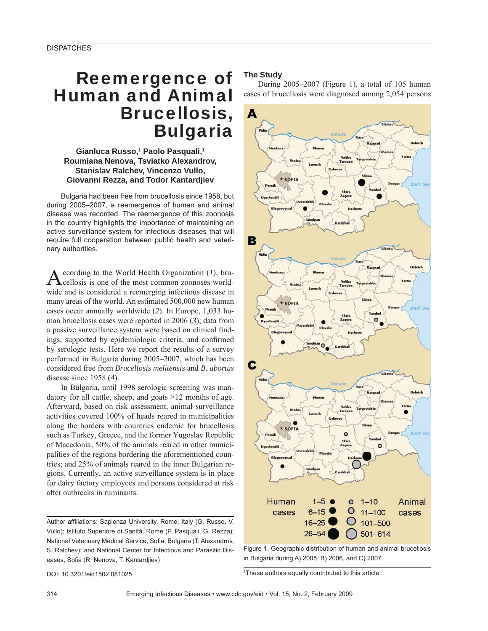# Reemergence of Human and Animal Brucellosis, Bulgaria

### **Gianluca Russo,1 Paolo Pasquali,1 Roumiana Nenova, Tsviatko Alexandrov, Stanislav Ralchev, Vincenzo Vullo, Giovanni Rezza, and Todor Kantardjiev**

Bulgaria had been free from brucellosis since 1958, but during 2005–2007, a reemergence of human and animal disease was recorded. The reemergence of this zoonosis in the country highlights the importance of maintaining an active surveillance system for infectious diseases that will require full cooperation between public health and veterinary authorities.

According to the World Health Organization (*1*), bru-<br>cellosis is one of the most common zoonoses worldwide and is considered a reemerging infectious disease in many areas of the world. An estimated 500,000 new human cases occur annually worldwide (*2*). In Europe, 1,033 human brucellosis cases were reported in 2006 (*3*); data from a passive surveillance system were based on clinical findings, supported by epidemiologic criteria, and confirmed by serologic tests. Here we report the results of a survey performed in Bulgaria during 2005–2007, which has been considered free from *Brucellosis melitensis* and *B. abortus* disease since 1958 (*4*).

In Bulgaria, until 1998 serologic screening was mandatory for all cattle, sheep, and goats >12 months of age. Afterward, based on risk assessment, animal surveillance activities covered 100% of heads reared in municipalities along the borders with countries endemic for brucellosis such as Turkey, Greece, and the former Yugoslav Republic of Macedonia; 50% of the animals reared in other municipalities of the regions bordering the aforementioned countries; and 25% of animals reared in the inner Bulgarian regions. Currently, an active surveillance system is in place for dairy factory employees and persons considered at risk after outbreaks in ruminants.

Author affiliations: Sapienza University, Rome, Italy (G. Russo, V. Vullo); Istituto Superiore di Sanità, Rome (P. Pasquali, G. Rezza); National Veterinary Medical Service, Sofia, Bulgaria (T. Alexandrov, S. Ralchev); and National Center for Infectious and Parasitic Diseases, Sofia (R. Nenova, T. Kantardjiev)

#### **The Study**

During 2005–2007 (Figure 1), a total of 105 human cases of brucellosis were diagnosed among 2,054 persons



Figure 1. Geographic distribution of human and animal brucellosis in Bulgaria during A) 2005, B) 2006, and C) 2007.

DOI: 10.3201/eid1502.081025 <sup>1</sup>

<sup>1</sup>These authors equally contributed to this article.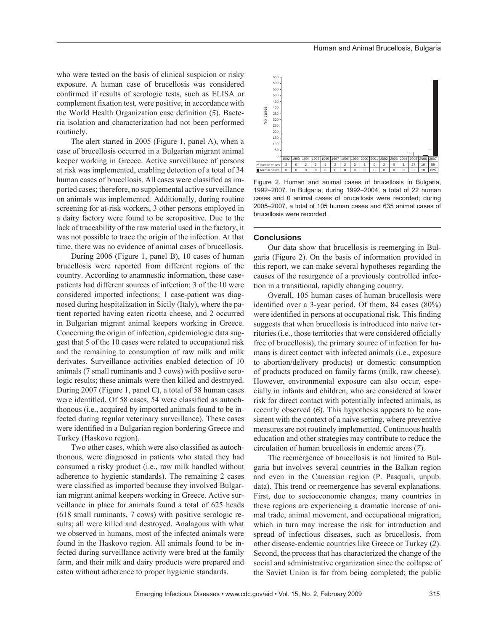who were tested on the basis of clinical suspicion or risky exposure. A human case of brucellosis was considered confirmed if results of serologic tests, such as ELISA or complement fixation test, were positive, in accordance with the World Health Organization case definition (5). Bacteria isolation and characterization had not been performed routinely.

The alert started in 2005 (Figure 1, panel A), when a case of brucellosis occurred in a Bulgarian migrant animal keeper working in Greece. Active surveillance of persons at risk was implemented, enabling detection of a total of 34 human cases of brucellosis. All cases were classified as imported cases; therefore, no supplemental active surveillance on animals was implemented. Additionally, during routine screening for at-risk workers, 3 other persons employed in a dairy factory were found to be seropositive. Due to the lack of traceability of the raw material used in the factory, it was not possible to trace the origin of the infection. At that time, there was no evidence of animal cases of brucellosis.

During 2006 (Figure 1, panel B), 10 cases of human brucellosis were reported from different regions of the country. According to anamnestic information, these casepatients had different sources of infection: 3 of the 10 were considered imported infections; 1 case-patient was diagnosed during hospitalization in Sicily (Italy), where the patient reported having eaten ricotta cheese, and 2 occurred in Bulgarian migrant animal keepers working in Greece. Concerning the origin of infection, epidemiologic data suggest that 5 of the 10 cases were related to occupational risk and the remaining to consumption of raw milk and milk derivates. Surveillance activities enabled detection of 10 animals (7 small ruminants and 3 cows) with positive serologic results; these animals were then killed and destroyed. During 2007 (Figure 1, panel C), a total of 58 human cases were identified. Of 58 cases, 54 were classified as autochthonous (i.e., acquired by imported animals found to be infected during regular veterinary surveillance). These cases were identified in a Bulgarian region bordering Greece and Turkey (Haskovo region).

Two other cases, which were also classified as autochthonous, were diagnosed in patients who stated they had consumed a risky product (i.e., raw milk handled without adherence to hygienic standards). The remaining 2 cases were classified as imported because they involved Bulgarian migrant animal keepers working in Greece. Active surveillance in place for animals found a total of 625 heads (618 small ruminants, 7 cows) with positive serologic results; all were killed and destroyed. Analagous with what we observed in humans, most of the infected animals were found in the Haskovo region. All animals found to be infected during surveillance activity were bred at the family farm, and their milk and dairy products were prepared and eaten without adherence to proper hygienic standards.



Figure 2. Human and animal cases of brucellosis in Bulgaria, 1992–2007. In Bulgaria, during 1992–2004, a total of 22 human cases and 0 animal cases of brucellosis were recorded; during 2005–2007, a total of 105 human cases and 635 animal cases of brucellosis were recorded.

#### **Conclusions**

Our data show that brucellosis is reemerging in Bulgaria (Figure 2). On the basis of information provided in this report, we can make several hypotheses regarding the causes of the resurgence of a previously controlled infection in a transitional, rapidly changing country.

Overall, 105 human cases of human brucellosis were identified over a 3-year period. Of them,  $84$  cases  $(80\%)$ were identified in persons at occupational risk. This finding suggests that when brucellosis is introduced into naive territories (i.e., those territories that were considered officially free of brucellosis), the primary source of infection for humans is direct contact with infected animals (i.e., exposure to abortion/delivery products) or domestic consumption of products produced on family farms (milk, raw cheese). However, environmental exposure can also occur, especially in infants and children, who are considered at lower risk for direct contact with potentially infected animals, as recently observed (*6*). This hypothesis appears to be consistent with the context of a naive setting, where preventive measures are not routinely implemented. Continuous health education and other strategies may contribute to reduce the circulation of human brucellosis in endemic areas (*7*).

The reemergence of brucellosis is not limited to Bulgaria but involves several countries in the Balkan region and even in the Caucasian region (P. Pasquali, unpub. data). This trend or reemergence has several explanations. First, due to socioeconomic changes, many countries in these regions are experiencing a dramatic increase of animal trade, animal movement, and occupational migration, which in turn may increase the risk for introduction and spread of infectious diseases, such as brucellosis, from other disease-endemic countries like Greece or Turkey (*2*). Second, the process that has characterized the change of the social and administrative organization since the collapse of the Soviet Union is far from being completed; the public